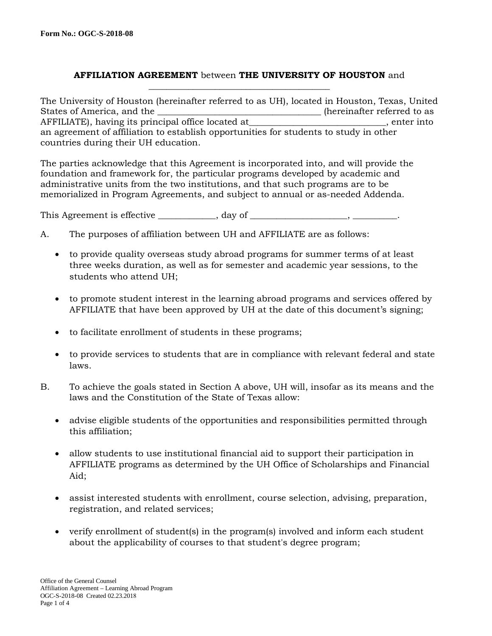## **AFFILIATION AGREEMENT** between **THE UNIVERSITY OF HOUSTON** and **\_\_\_\_\_\_\_\_\_\_\_\_\_\_\_\_\_\_\_\_\_\_\_\_\_\_\_\_\_\_\_\_\_\_\_\_\_\_\_\_\_**

The University of Houston (hereinafter referred to as UH), located in Houston, Texas, United States of America, and the \_\_\_\_\_\_\_\_\_\_\_\_\_\_\_\_\_\_\_\_\_\_\_\_\_\_\_\_\_\_\_\_\_(hereinafter referred to as AFFILIATE), having its principal office located at <br>enter into an agreement of affiliation to establish opportunities for students to study in other countries during their UH education.

The parties acknowledge that this Agreement is incorporated into, and will provide the foundation and framework for, the particular programs developed by academic and administrative units from the two institutions, and that such programs are to be memorialized in Program Agreements, and subject to annual or as-needed Addenda.

This Agreement is effective \_\_\_\_\_\_\_\_\_\_, day of \_\_\_\_\_\_\_\_\_\_\_\_\_\_\_\_, \_\_\_\_\_\_\_\_\_\_,

- A. The purposes of affiliation between UH and AFFILIATE are as follows:
	- to provide quality overseas study abroad programs for summer terms of at least three weeks duration, as well as for semester and academic year sessions, to the students who attend UH;
	- to promote student interest in the learning abroad programs and services offered by AFFILIATE that have been approved by UH at the date of this document's signing;
	- to facilitate enrollment of students in these programs;
	- to provide services to students that are in compliance with relevant federal and state laws.
- B. To achieve the goals stated in Section A above, UH will, insofar as its means and the laws and the Constitution of the State of Texas allow:
	- advise eligible students of the opportunities and responsibilities permitted through this affiliation;
	- allow students to use institutional financial aid to support their participation in AFFILIATE programs as determined by the UH Office of Scholarships and Financial Aid;
	- assist interested students with enrollment, course selection, advising, preparation, registration, and related services;
	- verify enrollment of student(s) in the program(s) involved and inform each student about the applicability of courses to that student's degree program;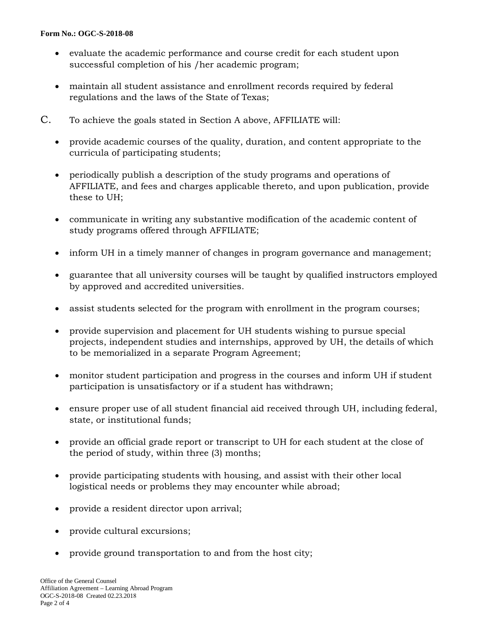## **Form No.: OGC-S-2018-08**

- evaluate the academic performance and course credit for each student upon successful completion of his /her academic program;
- maintain all student assistance and enrollment records required by federal regulations and the laws of the State of Texas;
- C. To achieve the goals stated in Section A above, AFFILIATE will:
	- provide academic courses of the quality, duration, and content appropriate to the curricula of participating students;
	- periodically publish a description of the study programs and operations of AFFILIATE, and fees and charges applicable thereto, and upon publication, provide these to UH;
	- communicate in writing any substantive modification of the academic content of study programs offered through AFFILIATE;
	- inform UH in a timely manner of changes in program governance and management;
	- guarantee that all university courses will be taught by qualified instructors employed by approved and accredited universities.
	- assist students selected for the program with enrollment in the program courses;
	- provide supervision and placement for UH students wishing to pursue special projects, independent studies and internships, approved by UH, the details of which to be memorialized in a separate Program Agreement;
	- monitor student participation and progress in the courses and inform UH if student participation is unsatisfactory or if a student has withdrawn;
	- ensure proper use of all student financial aid received through UH, including federal, state, or institutional funds;
	- provide an official grade report or transcript to UH for each student at the close of the period of study, within three (3) months;
	- provide participating students with housing, and assist with their other local logistical needs or problems they may encounter while abroad;
	- provide a resident director upon arrival;
	- provide cultural excursions;
	- provide ground transportation to and from the host city;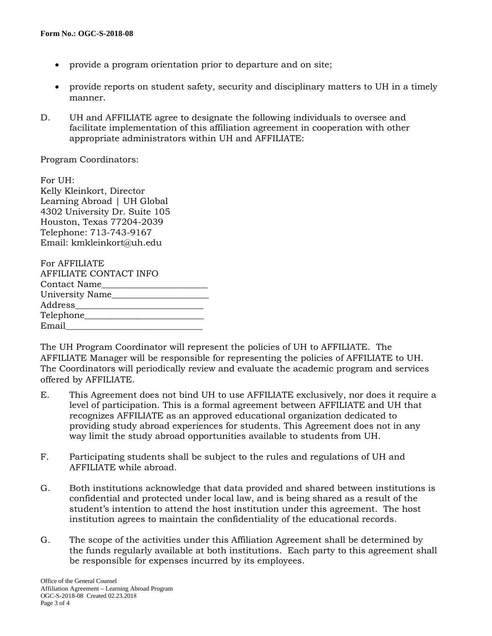- provide a program orientation prior to departure and on site;
- provide reports on student safety, security and disciplinary matters to UH in a timely manner.
- D. UH and AFFILIATE agree to designate the following individuals to oversee and facilitate implementation of this affiliation agreement in cooperation with other appropriate administrators within UH and AFFILIATE:

Program Coordinators:

For UH: Kelly Kleinkort, Director Learning Abroad | UH Global 4302 University Dr. Suite 105 Houston, Texas 77204-2039 Telephone: 713-743-9167 Email: kmkleinkort@uh.edu

| For AFFILIATE          |
|------------------------|
| AFFILIATE CONTACT INFO |
| <b>Contact Name</b>    |
| University Name        |
| Address                |
|                        |
| Email                  |

The UH Program Coordinator will represent the policies of UH to AFFILIATE. The AFFILIATE Manager will be responsible for representing the policies of AFFILIATE to UH. The Coordinators will periodically review and evaluate the academic program and services offered by AFFILIATE.

- E. This Agreement does not bind UH to use AFFILIATE exclusively, nor does it require a level of participation. This is a formal agreement between AFFILIATE and UH that recognizes AFFILIATE as an approved educational organization dedicated to providing study abroad experiences for students. This Agreement does not in any way limit the study abroad opportunities available to students from UH.
- F. Participating students shall be subject to the rules and regulations of UH and AFFILIATE while abroad.
- G. Both institutions acknowledge that data provided and shared between institutions is confidential and protected under local law, and is being shared as a result of the student's intention to attend the host institution under this agreement. The host institution agrees to maintain the confidentiality of the educational records.
- G. The scope of the activities under this Affiliation Agreement shall be determined by the funds regularly available at both institutions. Each party to this agreement shall be responsible for expenses incurred by its employees.